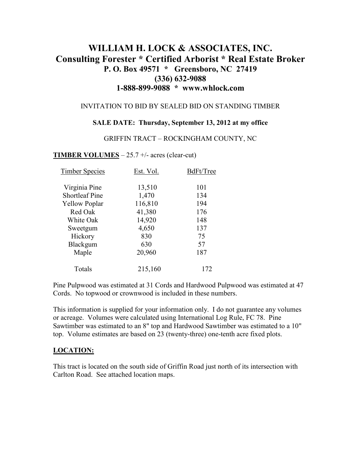# **WILLIAM H. LOCK & ASSOCIATES, INC. Consulting Forester \* Certified Arborist \* Real Estate Broker P. O. Box 49571 \* Greensboro, NC 27419 (336) 632-9088 1-888-899-9088 \* www.whlock.com**

#### INVITATION TO BID BY SEALED BID ON STANDING TIMBER

#### **SALE DATE: Thursday, September 13, 2012 at my office**

GRIFFIN TRACT – ROCKINGHAM COUNTY, NC

#### **TIMBER VOLUMES** – 25.7 +/- acres (clear-cut)

| <b>Timber Species</b> | Est. Vol. | BdFt/Tree |
|-----------------------|-----------|-----------|
| Virginia Pine         | 13,510    | 101       |
| <b>Shortleaf Pine</b> | 1,470     | 134       |
| <b>Yellow Poplar</b>  | 116,810   | 194       |
| Red Oak               | 41,380    | 176       |
| White Oak             | 14,920    | 148       |
| Sweetgum              | 4,650     | 137       |
| Hickory               | 830       | 75        |
| Blackgum              | 630       | 57        |
| Maple                 | 20,960    | 187       |
| Totals                | 215,160   | 172       |

Pine Pulpwood was estimated at 31 Cords and Hardwood Pulpwood was estimated at 47 Cords. No topwood or crownwood is included in these numbers.

This information is supplied for your information only. I do not guarantee any volumes or acreage. Volumes were calculated using International Log Rule, FC 78. Pine Sawtimber was estimated to an 8" top and Hardwood Sawtimber was estimated to a 10" top. Volume estimates are based on 23 (twenty-three) one-tenth acre fixed plots.

#### **LOCATION:**

This tract is located on the south side of Griffin Road just north of its intersection with Carlton Road. See attached location maps.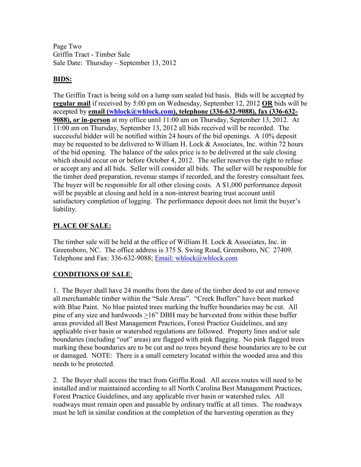Page Two Griffin Tract - Timber Sale Sale Date: Thursday – September 13, 2012

### **BIDS:**

The Griffin Tract is being sold on a lump sum sealed bid basis. Bids will be accepted by **regular mail** if received by 5:00 pm on Wednesday, September 12, 2012 **OR** bids will be accepted by **email (whlock@whlock.com), telephone (336-632-9088), fax (336-632- 9088), or in-person** at my office until 11:00 am on Thursday, September 13, 2012. At 11:00 am on Thursday, September 13, 2012 all bids received will be recorded. The successful bidder will be notified within 24 hours of the bid openings. A 10% deposit may be requested to be delivered to William H. Lock & Associates, Inc. within 72 hours of the bid opening. The balance of the sales price is to be delivered at the sale closing which should occur on or before October 4, 2012. The seller reserves the right to refuse or accept any and all bids. Seller will consider all bids. The seller will be responsible for the timber deed preparation, revenue stamps if recorded, and the forestry consultant fees. The buyer will be responsible for all other closing costs. A \$1,000 performance deposit will be payable at closing and held in a non-interest bearing trust account until satisfactory completion of logging. The performance deposit does not limit the buyer's liability.

## **PLACE OF SALE:**

The timber sale will be held at the office of William H. Lock & Associates, Inc. in Greensboro, NC. The office address is 375 S. Swing Road, Greensboro, NC 27409. Telephone and Fax: 336-632-9088; Email: whlock@whlock.com

## **CONDITIONS OF SALE**:

1. The Buyer shall have 24 months from the date of the timber deed to cut and remove all merchantable timber within the "Sale Areas". "Creek Buffers" have been marked with Blue Paint. No blue painted trees marking the buffer boundaries may be cut. All pine of any size and hardwoods >16" DBH may be harvested from within these buffer areas provided all Best Management Practices, Forest Practice Guidelines, and any applicable river basin or watershed regulations are followed. Property lines and/or sale boundaries (including "out" areas) are flagged with pink flagging. No pink flagged trees marking these boundaries are to be cut and no trees beyond these boundaries are to be cut or damaged. NOTE: There is a small cemetery located within the wooded area and this needs to be protected.

2. The Buyer shall access the tract from Griffin Road. All access routes will need to be installed and/or maintained according to all North Carolina Best Management Practices, Forest Practice Guidelines, and any applicable river basin or watershed rules. All roadways must remain open and passable by ordinary traffic at all times. The roadways must be left in similar condition at the completion of the harvesting operation as they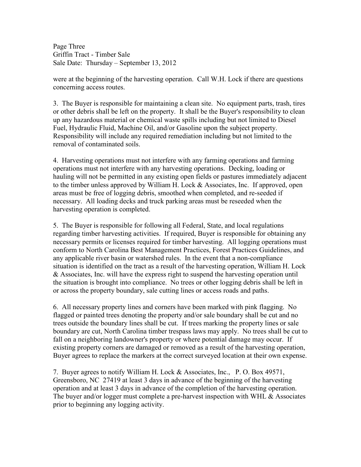Page Three Griffin Tract - Timber Sale Sale Date: Thursday – September 13, 2012

were at the beginning of the harvesting operation. Call W.H. Lock if there are questions concerning access routes.

3. The Buyer is responsible for maintaining a clean site. No equipment parts, trash, tires or other debris shall be left on the property. It shall be the Buyer's responsibility to clean up any hazardous material or chemical waste spills including but not limited to Diesel Fuel, Hydraulic Fluid, Machine Oil, and/or Gasoline upon the subject property. Responsibility will include any required remediation including but not limited to the removal of contaminated soils.

4. Harvesting operations must not interfere with any farming operations and farming operations must not interfere with any harvesting operations. Decking, loading or hauling will not be permitted in any existing open fields or pastures immediately adjacent to the timber unless approved by William H. Lock & Associates, Inc. If approved, open areas must be free of logging debris, smoothed when completed, and re-seeded if necessary. All loading decks and truck parking areas must be reseeded when the harvesting operation is completed.

5. The Buyer is responsible for following all Federal, State, and local regulations regarding timber harvesting activities. If required, Buyer is responsible for obtaining any necessary permits or licenses required for timber harvesting. All logging operations must conform to North Carolina Best Management Practices, Forest Practices Guidelines, and any applicable river basin or watershed rules. In the event that a non-compliance situation is identified on the tract as a result of the harvesting operation, William H. Lock & Associates, Inc. will have the express right to suspend the harvesting operation until the situation is brought into compliance. No trees or other logging debris shall be left in or across the property boundary, sale cutting lines or access roads and paths.

6. All necessary property lines and corners have been marked with pink flagging. No flagged or painted trees denoting the property and/or sale boundary shall be cut and no trees outside the boundary lines shall be cut. If trees marking the property lines or sale boundary are cut, North Carolina timber trespass laws may apply. No trees shall be cut to fall on a neighboring landowner's property or where potential damage may occur. If existing property corners are damaged or removed as a result of the harvesting operation, Buyer agrees to replace the markers at the correct surveyed location at their own expense.

7. Buyer agrees to notify William H. Lock & Associates, Inc., P. O. Box 49571, Greensboro, NC 27419 at least 3 days in advance of the beginning of the harvesting operation and at least 3 days in advance of the completion of the harvesting operation. The buyer and/or logger must complete a pre-harvest inspection with WHL & Associates prior to beginning any logging activity.